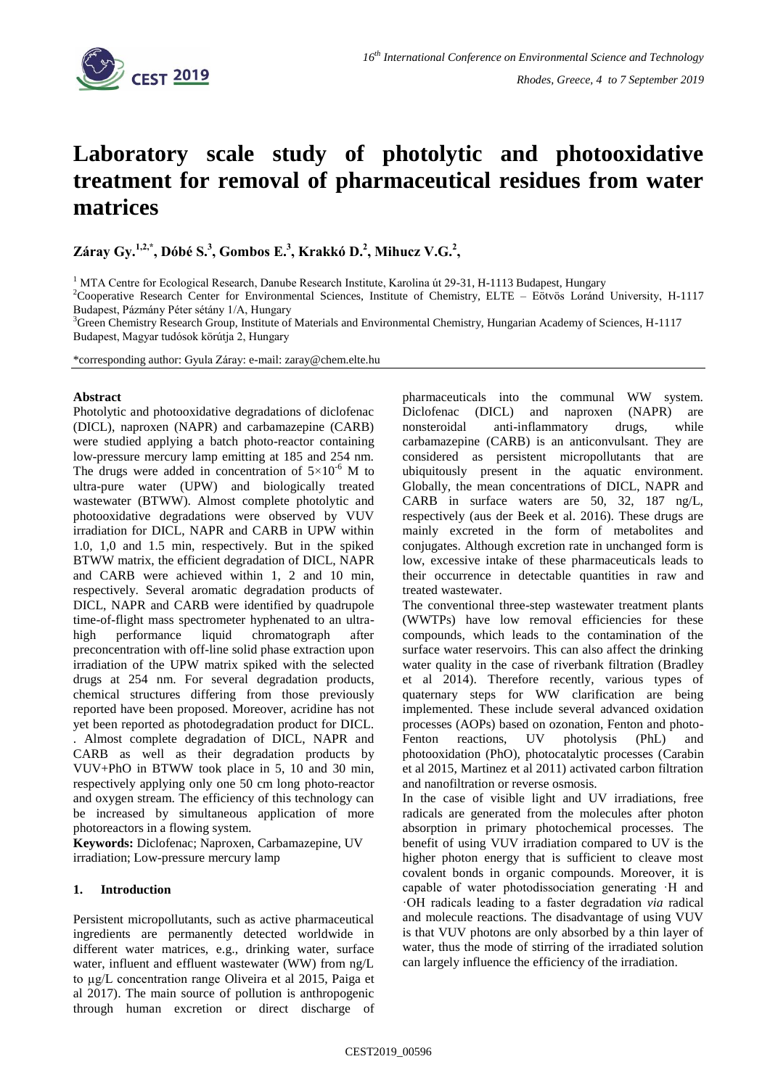

# **Laboratory scale study of photolytic and photooxidative treatment for removal of pharmaceutical residues from water matrices**

**Záray Gy.1,2,\* , Dóbé S.<sup>3</sup> , Gombos E.<sup>3</sup> , Krakkó D.<sup>2</sup> , Mihucz V.G.<sup>2</sup> ,** 

 $1$  MTA Centre for Ecological Research, Danube Research Institute, Karolina út 29-31, H-1113 Budapest, Hungary

<sup>2</sup>Cooperative Research Center for Environmental Sciences, Institute of Chemistry, ELTE – Eötvös Loránd University, H-1117 Budapest, Pázmány Péter sétány 1/A, Hungary

 $3$ Green Chemistry Research Group, Institute of Materials and Environmental Chemistry, Hungarian Academy of Sciences, H-1117 Budapest, Magyar tudósok körútja 2, Hungary

\*corresponding author: Gyula Záray: e-mail: zaray@chem.elte.hu

## **Abstract**

Photolytic and photooxidative degradations of diclofenac (DICL), naproxen (NAPR) and carbamazepine (CARB) were studied applying a batch photo-reactor containing low-pressure mercury lamp emitting at 185 and 254 nm. The drugs were added in concentration of  $5\times10^{-6}$  M to ultra-pure water (UPW) and biologically treated wastewater (BTWW). Almost complete photolytic and photooxidative degradations were observed by VUV irradiation for DICL, NAPR and CARB in UPW within 1.0, 1,0 and 1.5 min, respectively. But in the spiked BTWW matrix, the efficient degradation of DICL, NAPR and CARB were achieved within 1, 2 and 10 min, respectively. Several aromatic degradation products of DICL, NAPR and CARB were identified by quadrupole time-of-flight mass spectrometer hyphenated to an ultrahigh performance liquid chromatograph after preconcentration with off-line solid phase extraction upon irradiation of the UPW matrix spiked with the selected drugs at 254 nm. For several degradation products, chemical structures differing from those previously reported have been proposed. Moreover, acridine has not yet been reported as photodegradation product for DICL. . Almost complete degradation of DICL, NAPR and CARB as well as their degradation products by VUV+PhO in BTWW took place in 5, 10 and 30 min, respectively applying only one 50 cm long photo-reactor and oxygen stream. The efficiency of this technology can be increased by simultaneous application of more photoreactors in a flowing system.

**Keywords:** Diclofenac; Naproxen, Carbamazepine, UV irradiation; Low-pressure mercury lamp

# **1. Introduction**

Persistent micropollutants, such as active pharmaceutical ingredients are permanently detected worldwide in different water matrices, e.g., drinking water, surface water, influent and effluent wastewater (WW) from ng/L to µg/L concentration range Oliveira et al 2015, Paiga et al 2017). The main source of pollution is anthropogenic through human excretion or direct discharge of pharmaceuticals into the communal WW system. Diclofenac (DICL) and naproxen (NAPR) are nonsteroidal anti-inflammatory drugs, while carbamazepine (CARB) is an anticonvulsant. They are considered as persistent micropollutants that are ubiquitously present in the aquatic environment. Globally, the mean concentrations of DICL, NAPR and CARB in surface waters are 50, 32, 187 ng/L, respectively (aus der Beek et al. 2016). These drugs are mainly excreted in the form of metabolites and conjugates. Although excretion rate in unchanged form is low, excessive intake of these pharmaceuticals leads to their occurrence in detectable quantities in raw and treated wastewater.

The conventional three-step wastewater treatment plants (WWTPs) have low removal efficiencies for these compounds, which leads to the contamination of the surface water reservoirs. This can also affect the drinking water quality in the case of riverbank filtration (Bradley et al 2014). Therefore recently, various types of quaternary steps for WW clarification are being implemented. These include several advanced oxidation processes (AOPs) based on ozonation, Fenton and photo-Fenton reactions, UV photolysis (PhL) and photooxidation (PhO), photocatalytic processes (Carabin et al 2015, Martinez et al 2011) activated carbon filtration and nanofiltration or reverse osmosis.

In the case of visible light and UV irradiations, free radicals are generated from the molecules after photon absorption in primary photochemical processes. The benefit of using VUV irradiation compared to UV is the higher photon energy that is sufficient to cleave most covalent bonds in organic compounds. Moreover, it is capable of water photodissociation generating ·H and ·OH radicals leading to a faster degradation *via* radical and molecule reactions. The disadvantage of using VUV is that VUV photons are only absorbed by a thin layer of water, thus the mode of stirring of the irradiated solution can largely influence the efficiency of the irradiation.